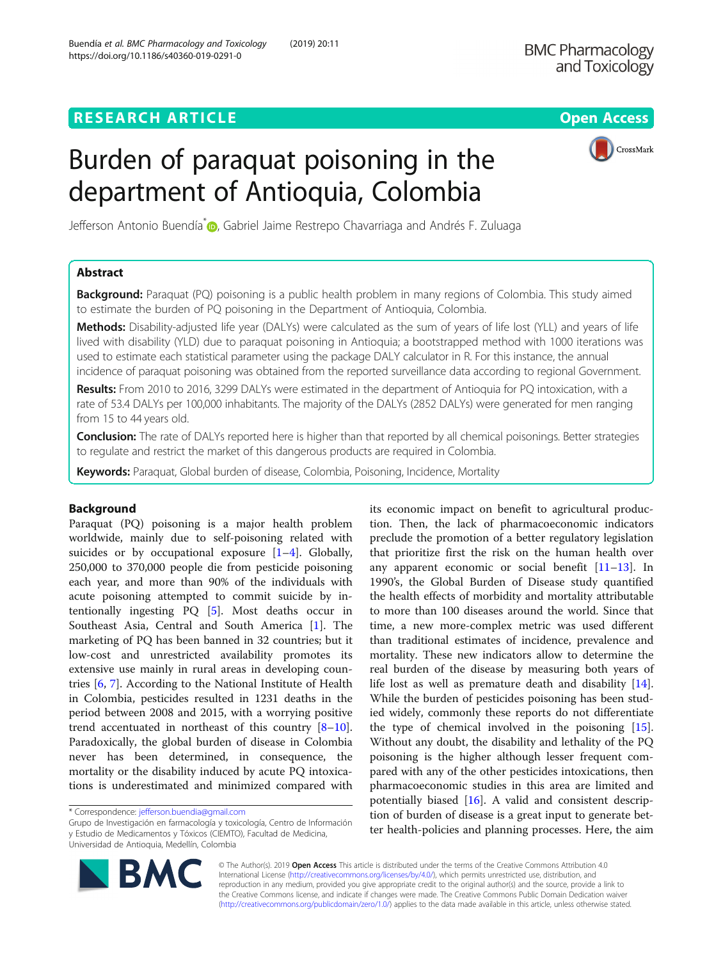CrossMark

# Burden of paraquat poisoning in the department of Antioquia, Colombia

Jefferson Antonio Buendía<sup>[\\*](http://orcid.org/0000-0003-2404-6612)</sup> D. Gabriel Jaime Restrepo Chavarriaga and Andrés F. Zuluaga

# Abstract

**Background:** Paraquat (PQ) poisoning is a public health problem in many regions of Colombia. This study aimed to estimate the burden of PQ poisoning in the Department of Antioquia, Colombia.

Methods: Disability-adjusted life year (DALYs) were calculated as the sum of years of life lost (YLL) and years of life lived with disability (YLD) due to paraquat poisoning in Antioquia; a bootstrapped method with 1000 iterations was used to estimate each statistical parameter using the package DALY calculator in R. For this instance, the annual incidence of paraquat poisoning was obtained from the reported surveillance data according to regional Government.

Results: From 2010 to 2016, 3299 DALYs were estimated in the department of Antioquia for PQ intoxication, with a rate of 53.4 DALYs per 100,000 inhabitants. The majority of the DALYs (2852 DALYs) were generated for men ranging from 15 to 44 years old.

Conclusion: The rate of DALYs reported here is higher than that reported by all chemical poisonings. Better strategies to regulate and restrict the market of this dangerous products are required in Colombia.

Keywords: Paraquat, Global burden of disease, Colombia, Poisoning, Incidence, Mortality

# Background

Paraquat (PQ) poisoning is a major health problem worldwide, mainly due to self-poisoning related with suicides or by occupational exposure  $[1-4]$  $[1-4]$  $[1-4]$  $[1-4]$  $[1-4]$ . Globally, 250,000 to 370,000 people die from pesticide poisoning each year, and more than 90% of the individuals with acute poisoning attempted to commit suicide by intentionally ingesting PQ [[5\]](#page-5-0). Most deaths occur in Southeast Asia, Central and South America [\[1](#page-5-0)]. The marketing of PQ has been banned in 32 countries; but it low-cost and unrestricted availability promotes its extensive use mainly in rural areas in developing countries [[6](#page-5-0), [7\]](#page-5-0). According to the National Institute of Health in Colombia, pesticides resulted in 1231 deaths in the period between 2008 and 2015, with a worrying positive trend accentuated in northeast of this country [[8](#page-5-0)–[10](#page-5-0)]. Paradoxically, the global burden of disease in Colombia never has been determined, in consequence, the mortality or the disability induced by acute PQ intoxications is underestimated and minimized compared with

Grupo de Investigación en farmacología y toxicología, Centro de Información y Estudio de Medicamentos y Tóxicos (CIEMTO), Facultad de Medicina, Universidad de Antioquia, Medellín, Colombia

its economic impact on benefit to agricultural production. Then, the lack of pharmacoeconomic indicators preclude the promotion of a better regulatory legislation that prioritize first the risk on the human health over any apparent economic or social benefit [\[11](#page-5-0)–[13\]](#page-5-0). In 1990's, the Global Burden of Disease study quantified the health effects of morbidity and mortality attributable to more than 100 diseases around the world. Since that time, a new more-complex metric was used different than traditional estimates of incidence, prevalence and mortality. These new indicators allow to determine the real burden of the disease by measuring both years of life lost as well as premature death and disability [\[14](#page-5-0)]. While the burden of pesticides poisoning has been studied widely, commonly these reports do not differentiate the type of chemical involved in the poisoning [\[15](#page-5-0)]. Without any doubt, the disability and lethality of the PQ poisoning is the higher although lesser frequent compared with any of the other pesticides intoxications, then pharmacoeconomic studies in this area are limited and potentially biased [[16](#page-5-0)]. A valid and consistent description of burden of disease is a great input to generate better health-policies and planning processes. Here, the aim



© The Author(s). 2019 Open Access This article is distributed under the terms of the Creative Commons Attribution 4.0 International License [\(http://creativecommons.org/licenses/by/4.0/](http://creativecommons.org/licenses/by/4.0/)), which permits unrestricted use, distribution, and reproduction in any medium, provided you give appropriate credit to the original author(s) and the source, provide a link to the Creative Commons license, and indicate if changes were made. The Creative Commons Public Domain Dedication waiver [\(http://creativecommons.org/publicdomain/zero/1.0/](http://creativecommons.org/publicdomain/zero/1.0/)) applies to the data made available in this article, unless otherwise stated.

<sup>\*</sup> Correspondence: [jefferson.buendia@gmail.com](mailto:jefferson.buendia@gmail.com)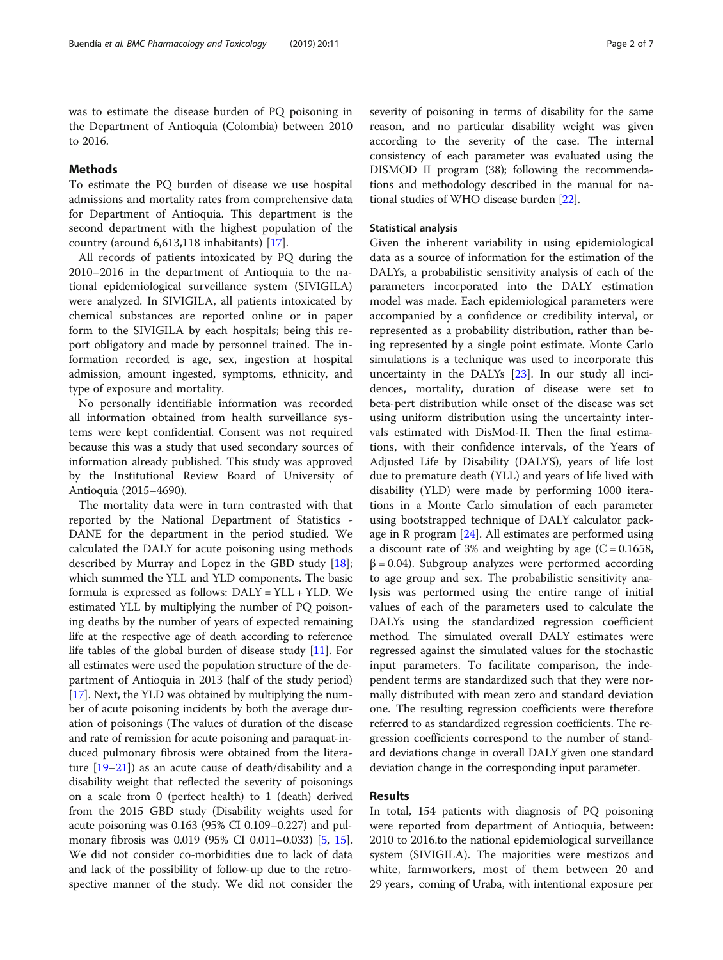was to estimate the disease burden of PQ poisoning in the Department of Antioquia (Colombia) between 2010 to 2016.

## Methods

To estimate the PQ burden of disease we use hospital admissions and mortality rates from comprehensive data for Department of Antioquia. This department is the second department with the highest population of the country (around 6,613,118 inhabitants) [[17](#page-5-0)].

All records of patients intoxicated by PQ during the 2010–2016 in the department of Antioquia to the national epidemiological surveillance system (SIVIGILA) were analyzed. In SIVIGILA, all patients intoxicated by chemical substances are reported online or in paper form to the SIVIGILA by each hospitals; being this report obligatory and made by personnel trained. The information recorded is age, sex, ingestion at hospital admission, amount ingested, symptoms, ethnicity, and type of exposure and mortality.

No personally identifiable information was recorded all information obtained from health surveillance systems were kept confidential. Consent was not required because this was a study that used secondary sources of information already published. This study was approved by the Institutional Review Board of University of Antioquia (2015–4690).

The mortality data were in turn contrasted with that reported by the National Department of Statistics - DANE for the department in the period studied. We calculated the DALY for acute poisoning using methods described by Murray and Lopez in the GBD study [\[18](#page-5-0)]; which summed the YLL and YLD components. The basic formula is expressed as follows: DALY = YLL + YLD. We estimated YLL by multiplying the number of PQ poisoning deaths by the number of years of expected remaining life at the respective age of death according to reference life tables of the global burden of disease study [\[11\]](#page-5-0). For all estimates were used the population structure of the department of Antioquia in 2013 (half of the study period) [[17](#page-5-0)]. Next, the YLD was obtained by multiplying the number of acute poisoning incidents by both the average duration of poisonings (The values of duration of the disease and rate of remission for acute poisoning and paraquat-induced pulmonary fibrosis were obtained from the literature [[19](#page-5-0)–[21\]](#page-5-0)) as an acute cause of death/disability and a disability weight that reflected the severity of poisonings on a scale from 0 (perfect health) to 1 (death) derived from the 2015 GBD study (Disability weights used for acute poisoning was 0.163 (95% CI 0.109–0.227) and pulmonary fibrosis was 0.019 (95% CI 0.011–0.033) [[5,](#page-5-0) [15](#page-5-0)]. We did not consider co-morbidities due to lack of data and lack of the possibility of follow-up due to the retrospective manner of the study. We did not consider the severity of poisoning in terms of disability for the same reason, and no particular disability weight was given according to the severity of the case. The internal consistency of each parameter was evaluated using the DISMOD II program (38); following the recommendations and methodology described in the manual for national studies of WHO disease burden [\[22\]](#page-5-0).

## Statistical analysis

Given the inherent variability in using epidemiological data as a source of information for the estimation of the DALYs, a probabilistic sensitivity analysis of each of the parameters incorporated into the DALY estimation model was made. Each epidemiological parameters were accompanied by a confidence or credibility interval, or represented as a probability distribution, rather than being represented by a single point estimate. Monte Carlo simulations is a technique was used to incorporate this uncertainty in the DALYs [\[23](#page-5-0)]. In our study all incidences, mortality, duration of disease were set to beta-pert distribution while onset of the disease was set using uniform distribution using the uncertainty intervals estimated with DisMod-II. Then the final estimations, with their confidence intervals, of the Years of Adjusted Life by Disability (DALYS), years of life lost due to premature death (YLL) and years of life lived with disability (YLD) were made by performing 1000 iterations in a Monte Carlo simulation of each parameter using bootstrapped technique of DALY calculator package in R program  $[24]$  $[24]$ . All estimates are performed using a discount rate of 3% and weighting by age  $(C = 0.1658,$  $\beta$  = 0.04). Subgroup analyzes were performed according to age group and sex. The probabilistic sensitivity analysis was performed using the entire range of initial values of each of the parameters used to calculate the DALYs using the standardized regression coefficient method. The simulated overall DALY estimates were regressed against the simulated values for the stochastic input parameters. To facilitate comparison, the independent terms are standardized such that they were normally distributed with mean zero and standard deviation one. The resulting regression coefficients were therefore referred to as standardized regression coefficients. The regression coefficients correspond to the number of standard deviations change in overall DALY given one standard deviation change in the corresponding input parameter.

## Results

In total, 154 patients with diagnosis of PQ poisoning were reported from department of Antioquia, between: 2010 to 2016.to the national epidemiological surveillance system (SIVIGILA). The majorities were mestizos and white, farmworkers, most of them between 20 and 29 years, coming of Uraba, with intentional exposure per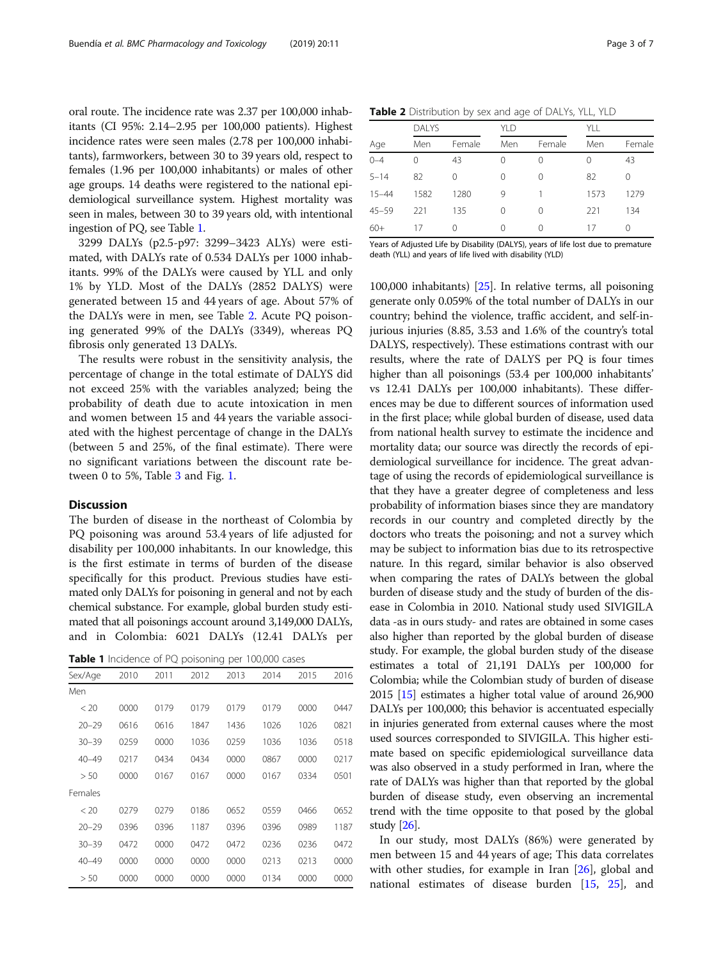oral route. The incidence rate was 2.37 per 100,000 inhabitants (CI 95%: 2.14–2.95 per 100,000 patients). Highest incidence rates were seen males (2.78 per 100,000 inhabitants), farmworkers, between 30 to 39 years old, respect to females (1.96 per 100,000 inhabitants) or males of other age groups. 14 deaths were registered to the national epidemiological surveillance system. Highest mortality was seen in males, between 30 to 39 years old, with intentional ingestion of PQ, see Table 1.

3299 DALYs (p2.5-p97: 3299–3423 ALYs) were estimated, with DALYs rate of 0.534 DALYs per 1000 inhabitants. 99% of the DALYs were caused by YLL and only 1% by YLD. Most of the DALYs (2852 DALYS) were generated between 15 and 44 years of age. About 57% of the DALYs were in men, see Table 2. Acute PQ poisoning generated 99% of the DALYs (3349), whereas PQ fibrosis only generated 13 DALYs.

The results were robust in the sensitivity analysis, the percentage of change in the total estimate of DALYS did not exceed 25% with the variables analyzed; being the probability of death due to acute intoxication in men and women between 15 and 44 years the variable associated with the highest percentage of change in the DALYs (between 5 and 25%, of the final estimate). There were no significant variations between the discount rate between 0 to 5%, Table [3](#page-3-0) and Fig. [1](#page-4-0).

#### **Discussion**

The burden of disease in the northeast of Colombia by PQ poisoning was around 53.4 years of life adjusted for disability per 100,000 inhabitants. In our knowledge, this is the first estimate in terms of burden of the disease specifically for this product. Previous studies have estimated only DALYs for poisoning in general and not by each chemical substance. For example, global burden study estimated that all poisonings account around 3,149,000 DALYs, and in Colombia: 6021 DALYs (12.41 DALYs per

| Table 1 Incidence of PQ poisoning per 100,000 cases |  |  |
|-----------------------------------------------------|--|--|
|-----------------------------------------------------|--|--|

| Sex/Age   | 2010 | 2011 | 2012 | 2013 | 2014 | 2015 | 2016 |
|-----------|------|------|------|------|------|------|------|
| Men       |      |      |      |      |      |      |      |
| < 20      | 0000 | 0179 | 0179 | 0179 | 0179 | 0000 | 0447 |
| $20 - 29$ | 0616 | 0616 | 1847 | 1436 | 1026 | 1026 | 0821 |
| $30 - 39$ | 0259 | 0000 | 1036 | 0259 | 1036 | 1036 | 0518 |
| $40 - 49$ | 0217 | 0434 | 0434 | 0000 | 0867 | 0000 | 0217 |
| > 50      | 0000 | 0167 | 0167 | 0000 | 0167 | 0334 | 0501 |
| Females   |      |      |      |      |      |      |      |
| < 20      | 0279 | 0279 | 0186 | 0652 | 0559 | 0466 | 0652 |
| $20 - 29$ | 0396 | 0396 | 1187 | 0396 | 0396 | 0989 | 1187 |
| $30 - 39$ | 0472 | 0000 | 0472 | 0472 | 0236 | 0236 | 0472 |
| $40 - 49$ | 0000 | 0000 | 0000 | 0000 | 0213 | 0213 | 0000 |
| > 50      | 0000 | 0000 | 0000 | 0000 | 0134 | 0000 | 0000 |

| Table 2 Distribution by sex and age of DALYs, YLL, YLD |  |  |  |  |
|--------------------------------------------------------|--|--|--|--|
|--------------------------------------------------------|--|--|--|--|

|           | <b>DALYS</b> |        |          |          | YLL  |        |  |
|-----------|--------------|--------|----------|----------|------|--------|--|
| Age       | Men          | Female | Men      | Female   | Men  | Female |  |
| $0 - 4$   | 0            | 43     | $\Omega$ | $\Omega$ | 0    | 43     |  |
| $5 - 14$  | 82           | 0      |          | 0        | 82   | 0      |  |
| $15 - 44$ | 1582         | 1280   | 9        |          | 1573 | 1279   |  |
| $45 - 59$ | 221          | 135    |          | 0        | 221  | 134    |  |
| $60+$     | 17           | 0      | $\left($ | 0        | 17   | 0      |  |

Years of Adjusted Life by Disability (DALYS), years of life lost due to premature death (YLL) and years of life lived with disability (YLD)

100,000 inhabitants) [[25\]](#page-5-0). In relative terms, all poisoning generate only 0.059% of the total number of DALYs in our country; behind the violence, traffic accident, and self-injurious injuries (8.85, 3.53 and 1.6% of the country's total DALYS, respectively). These estimations contrast with our results, where the rate of DALYS per PQ is four times higher than all poisonings (53.4 per 100,000 inhabitants' vs 12.41 DALYs per 100,000 inhabitants). These differences may be due to different sources of information used in the first place; while global burden of disease, used data from national health survey to estimate the incidence and mortality data; our source was directly the records of epidemiological surveillance for incidence. The great advantage of using the records of epidemiological surveillance is that they have a greater degree of completeness and less probability of information biases since they are mandatory records in our country and completed directly by the doctors who treats the poisoning; and not a survey which may be subject to information bias due to its retrospective nature. In this regard, similar behavior is also observed when comparing the rates of DALYs between the global burden of disease study and the study of burden of the disease in Colombia in 2010. National study used SIVIGILA data -as in ours study- and rates are obtained in some cases also higher than reported by the global burden of disease study. For example, the global burden study of the disease estimates a total of 21,191 DALYs per 100,000 for Colombia; while the Colombian study of burden of disease 2015 [[15](#page-5-0)] estimates a higher total value of around 26,900 DALYs per 100,000; this behavior is accentuated especially in injuries generated from external causes where the most used sources corresponded to SIVIGILA. This higher estimate based on specific epidemiological surveillance data was also observed in a study performed in Iran, where the rate of DALYs was higher than that reported by the global burden of disease study, even observing an incremental trend with the time opposite to that posed by the global study [[26](#page-5-0)].

In our study, most DALYs (86%) were generated by men between 15 and 44 years of age; This data correlates with other studies, for example in Iran [\[26\]](#page-5-0), global and national estimates of disease burden [[15](#page-5-0), [25\]](#page-5-0), and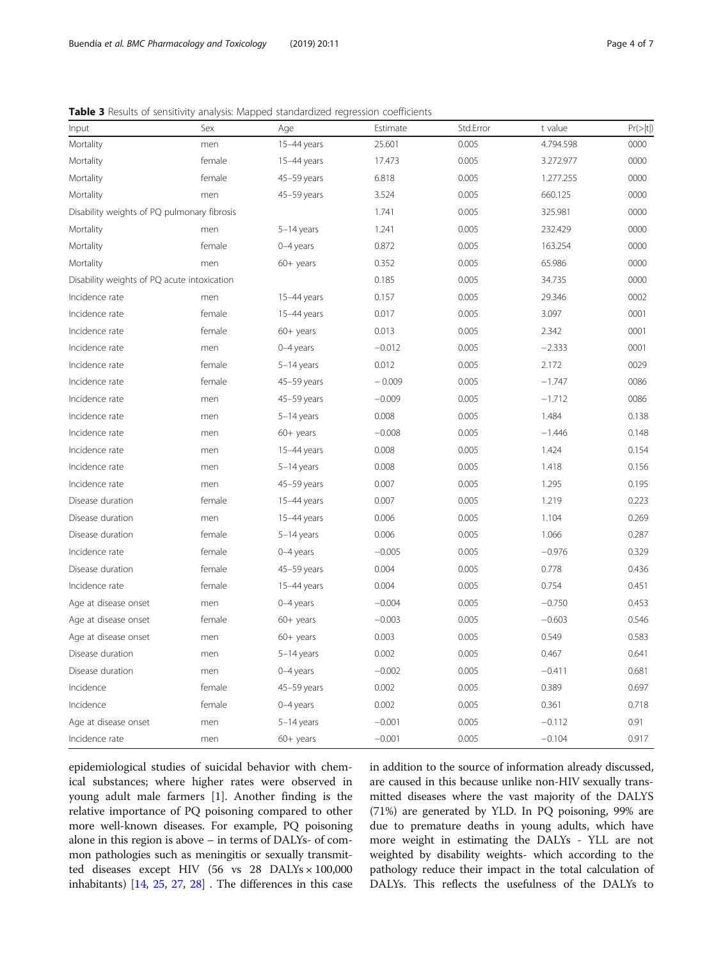<span id="page-3-0"></span>

| Input                                       | Sex    | Age          | Estimate | Std.Error | t value   | Pr(> t ) |
|---------------------------------------------|--------|--------------|----------|-----------|-----------|----------|
| Mortality                                   | men    | 15-44 years  | 25.601   | 0.005     | 4.794.598 | 0000     |
| Mortality                                   | female | 15-44 years  | 17.473   | 0.005     | 3.272.977 | 0000     |
| Mortality                                   | female | 45-59 years  | 6.818    | 0.005     | 1.277.255 | 0000     |
| Mortality                                   | men    | 45-59 years  | 3.524    | 0.005     | 660.125   | 0000     |
| Disability weights of PQ pulmonary fibrosis |        |              | 1.741    | 0.005     | 325.981   | 0000     |
| Mortality                                   | men    | $5-14$ years | 1.241    | 0.005     | 232.429   | 0000     |
| Mortality                                   | female | $0-4$ years  | 0.872    | 0.005     | 163.254   | 0000     |
| Mortality                                   | men    | 60+ years    | 0.352    | 0.005     | 65.986    | 0000     |
| Disability weights of PQ acute intoxication |        |              | 0.185    | 0.005     | 34.735    | 0000     |
| Incidence rate                              | men    | 15-44 years  | 0.157    | 0.005     | 29.346    | 0002     |
| Incidence rate                              | female | 15-44 years  | 0.017    | 0.005     | 3.097     | 0001     |
| Incidence rate                              | female | $60+$ years  | 0.013    | 0.005     | 2.342     | 0001     |
| Incidence rate                              | men    | $0-4$ years  | $-0.012$ | 0.005     | $-2.333$  | 0001     |
| Incidence rate                              | female | 5-14 years   | 0.012    | 0.005     | 2.172     | 0029     |
| Incidence rate                              | female | 45-59 years  | $-0.009$ | 0.005     | $-1.747$  | 0086     |
| Incidence rate                              | men    | 45-59 years  | $-0.009$ | 0.005     | $-1.712$  | 0086     |
| Incidence rate                              | men    | $5-14$ years | 0.008    | 0.005     | 1.484     | 0.138    |
| Incidence rate                              | men    | $60+$ years  | $-0.008$ | 0.005     | $-1.446$  | 0.148    |
| Incidence rate                              | men    | 15-44 years  | 0.008    | 0.005     | 1.424     | 0.154    |
| Incidence rate                              | men    | 5-14 years   | 0.008    | 0.005     | 1.418     | 0.156    |
| Incidence rate                              | men    | 45-59 years  | 0.007    | 0.005     | 1.295     | 0.195    |
| Disease duration                            | female | 15-44 years  | 0.007    | 0.005     | 1.219     | 0.223    |
| Disease duration                            | men    | 15-44 years  | 0.006    | 0.005     | 1.104     | 0.269    |
| Disease duration                            | female | 5-14 years   | 0.006    | 0.005     | 1.066     | 0.287    |
| Incidence rate                              | female | $0-4$ years  | $-0.005$ | 0.005     | $-0.976$  | 0.329    |
| Disease duration                            | female | 45-59 years  | 0.004    | 0.005     | 0.778     | 0.436    |
| Incidence rate                              | female | 15-44 years  | 0.004    | 0.005     | 0.754     | 0.451    |
| Age at disease onset                        | men    | $0-4$ years  | $-0.004$ | 0.005     | $-0.750$  | 0.453    |
| Age at disease onset                        | female | $60+$ years  | $-0.003$ | 0.005     | $-0.603$  | 0.546    |
| Age at disease onset                        | men    | $60+$ years  | 0.003    | 0.005     | 0.549     | 0.583    |
| Disease duration                            | men    | $5-14$ years | 0.002    | 0.005     | 0.467     | 0.641    |
| Disease duration                            | men    | $0-4$ years  | $-0.002$ | 0.005     | $-0.411$  | 0.681    |
| Incidence                                   | female | 45-59 years  | 0.002    | 0.005     | 0.389     | 0.697    |
| Incidence                                   | female | $0-4$ years  | 0.002    | 0.005     | 0.361     | 0.718    |
| Age at disease onset                        | men    | $5-14$ years | $-0.001$ | 0.005     | $-0.112$  | 0.91     |
| Incidence rate                              | men    | $60+$ years  | $-0.001$ | 0.005     | $-0.104$  | 0.917    |

epidemiological studies of suicidal behavior with chemical substances; where higher rates were observed in young adult male farmers [\[1](#page-5-0)]. Another finding is the relative importance of PQ poisoning compared to other more well-known diseases. For example, PQ poisoning alone in this region is above – in terms of DALYs- of common pathologies such as meningitis or sexually transmitted diseases except HIV (56 vs 28 DALYs × 100,000 inhabitants) [[14](#page-5-0), [25,](#page-5-0) [27,](#page-5-0) [28](#page-5-0)] . The differences in this case in addition to the source of information already discussed, are caused in this because unlike non-HIV sexually transmitted diseases where the vast majority of the DALYS (71%) are generated by YLD. In PQ poisoning, 99% are due to premature deaths in young adults, which have more weight in estimating the DALYs - YLL are not weighted by disability weights- which according to the pathology reduce their impact in the total calculation of DALYs. This reflects the usefulness of the DALYs to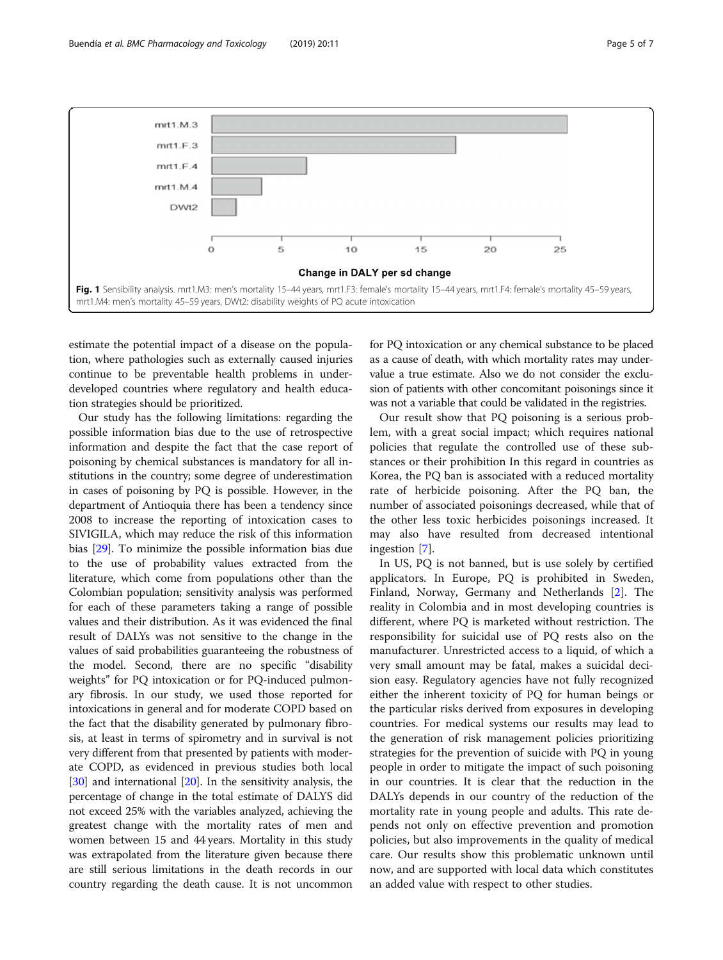<span id="page-4-0"></span>

estimate the potential impact of a disease on the population, where pathologies such as externally caused injuries continue to be preventable health problems in underdeveloped countries where regulatory and health education strategies should be prioritized.

Our study has the following limitations: regarding the possible information bias due to the use of retrospective information and despite the fact that the case report of poisoning by chemical substances is mandatory for all institutions in the country; some degree of underestimation in cases of poisoning by PQ is possible. However, in the department of Antioquia there has been a tendency since 2008 to increase the reporting of intoxication cases to SIVIGILA, which may reduce the risk of this information bias [\[29\]](#page-6-0). To minimize the possible information bias due to the use of probability values extracted from the literature, which come from populations other than the Colombian population; sensitivity analysis was performed for each of these parameters taking a range of possible values and their distribution. As it was evidenced the final result of DALYs was not sensitive to the change in the values of said probabilities guaranteeing the robustness of the model. Second, there are no specific "disability weights" for PQ intoxication or for PQ-induced pulmonary fibrosis. In our study, we used those reported for intoxications in general and for moderate COPD based on the fact that the disability generated by pulmonary fibrosis, at least in terms of spirometry and in survival is not very different from that presented by patients with moderate COPD, as evidenced in previous studies both local [[30](#page-6-0)] and international [\[20\]](#page-5-0). In the sensitivity analysis, the percentage of change in the total estimate of DALYS did not exceed 25% with the variables analyzed, achieving the greatest change with the mortality rates of men and women between 15 and 44 years. Mortality in this study was extrapolated from the literature given because there are still serious limitations in the death records in our country regarding the death cause. It is not uncommon for PQ intoxication or any chemical substance to be placed as a cause of death, with which mortality rates may undervalue a true estimate. Also we do not consider the exclusion of patients with other concomitant poisonings since it was not a variable that could be validated in the registries.

Our result show that PQ poisoning is a serious problem, with a great social impact; which requires national policies that regulate the controlled use of these substances or their prohibition In this regard in countries as Korea, the PQ ban is associated with a reduced mortality rate of herbicide poisoning. After the PQ ban, the number of associated poisonings decreased, while that of the other less toxic herbicides poisonings increased. It may also have resulted from decreased intentional ingestion [[7\]](#page-5-0).

In US, PQ is not banned, but is use solely by certified applicators. In Europe, PQ is prohibited in Sweden, Finland, Norway, Germany and Netherlands [\[2](#page-5-0)]. The reality in Colombia and in most developing countries is different, where PQ is marketed without restriction. The responsibility for suicidal use of PQ rests also on the manufacturer. Unrestricted access to a liquid, of which a very small amount may be fatal, makes a suicidal decision easy. Regulatory agencies have not fully recognized either the inherent toxicity of PQ for human beings or the particular risks derived from exposures in developing countries. For medical systems our results may lead to the generation of risk management policies prioritizing strategies for the prevention of suicide with PQ in young people in order to mitigate the impact of such poisoning in our countries. It is clear that the reduction in the DALYs depends in our country of the reduction of the mortality rate in young people and adults. This rate depends not only on effective prevention and promotion policies, but also improvements in the quality of medical care. Our results show this problematic unknown until now, and are supported with local data which constitutes an added value with respect to other studies.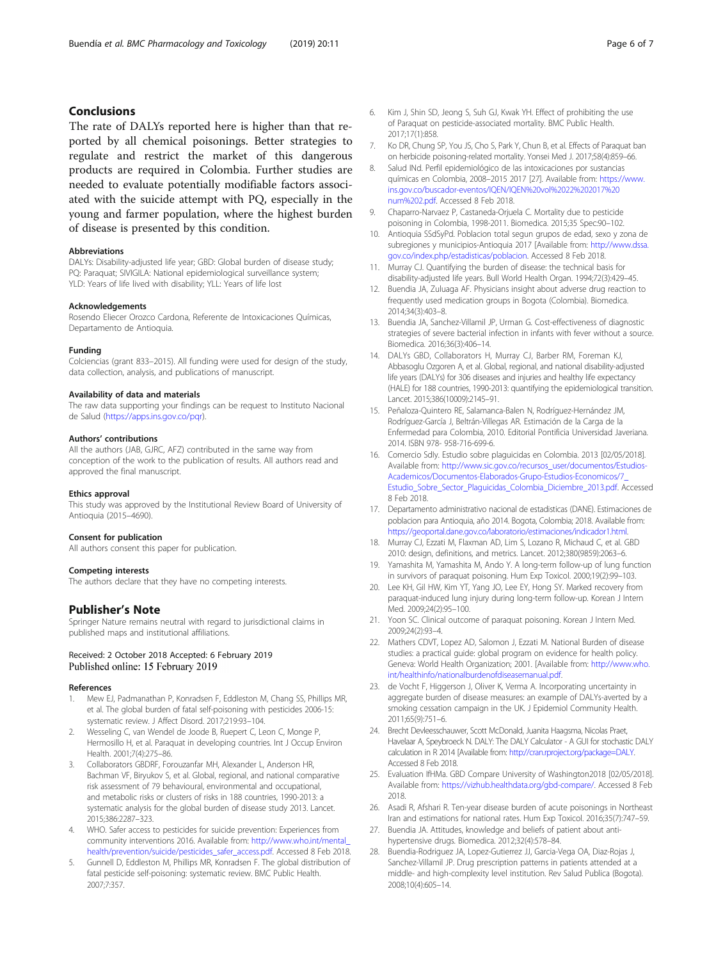## <span id="page-5-0"></span>Conclusions

The rate of DALYs reported here is higher than that reported by all chemical poisonings. Better strategies to regulate and restrict the market of this dangerous products are required in Colombia. Further studies are needed to evaluate potentially modifiable factors associated with the suicide attempt with PQ, especially in the young and farmer population, where the highest burden of disease is presented by this condition.

#### Abbreviations

DALYs: Disability-adjusted life year; GBD: Global burden of disease study; PQ: Paraquat; SIVIGILA: National epidemiological surveillance system; YLD: Years of life lived with disability; YLL: Years of life lost

#### Acknowledgements

Rosendo Eliecer Orozco Cardona, Referente de Intoxicaciones Químicas, Departamento de Antioquia.

#### Funding

Colciencias (grant 833–2015). All funding were used for design of the study, data collection, analysis, and publications of manuscript.

#### Availability of data and materials

The raw data supporting your findings can be request to Instituto Nacional de Salud [\(https://apps.ins.gov.co/pqr\)](https://apps.ins.gov.co/pqr).

#### Authors' contributions

All the authors (JAB, GJRC, AFZ) contributed in the same way from conception of the work to the publication of results. All authors read and approved the final manuscript.

#### Ethics approval

This study was approved by the Institutional Review Board of University of Antioquia (2015–4690).

#### Consent for publication

All authors consent this paper for publication.

#### Competing interests

The authors declare that they have no competing interests.

## Publisher's Note

Springer Nature remains neutral with regard to jurisdictional claims in published maps and institutional affiliations.

#### Received: 2 October 2018 Accepted: 6 February 2019 Published online: 15 February 2019

#### References

- 1. Mew EJ, Padmanathan P, Konradsen F, Eddleston M, Chang SS, Phillips MR, et al. The global burden of fatal self-poisoning with pesticides 2006-15: systematic review. J Affect Disord. 2017;219:93–104.
- 2. Wesseling C, van Wendel de Joode B, Ruepert C, Leon C, Monge P, Hermosillo H, et al. Paraquat in developing countries. Int J Occup Environ Health. 2001;7(4):275–86.
- 3. Collaborators GBDRF, Forouzanfar MH, Alexander L, Anderson HR, Bachman VF, Biryukov S, et al. Global, regional, and national comparative risk assessment of 79 behavioural, environmental and occupational, and metabolic risks or clusters of risks in 188 countries, 1990-2013: a systematic analysis for the global burden of disease study 2013. Lancet. 2015;386:2287–323.
- 4. WHO. Safer access to pesticides for suicide prevention: Experiences from community interventions 2016. Available from: [http://www.who.int/mental\\_](http://www.who.int/mental_health/prevention/suicide/pesticides_safer_access.pdf) [health/prevention/suicide/pesticides\\_safer\\_access.pdf](http://www.who.int/mental_health/prevention/suicide/pesticides_safer_access.pdf). Accessed 8 Feb 2018.
- 5. Gunnell D, Eddleston M, Phillips MR, Konradsen F. The global distribution of fatal pesticide self-poisoning: systematic review. BMC Public Health. 2007;7:357.
- 6. Kim J, Shin SD, Jeong S, Suh GJ, Kwak YH. Effect of prohibiting the use of Paraquat on pesticide-associated mortality. BMC Public Health. 2017;17(1):858.
- 7. Ko DR, Chung SP, You JS, Cho S, Park Y, Chun B, et al. Effects of Paraquat ban on herbicide poisoning-related mortality. Yonsei Med J. 2017;58(4):859–66.
- 8. Salud INd. Perfil epidemiológico de las intoxicaciones por sustancias químicas en Colombia, 2008–2015 2017 [27]. Available from: [https://www.](https://www.ins.gov.co/buscador-eventos/IQEN/IQEN%20vol%2022%202017%20num%202.pdf) [ins.gov.co/buscador-eventos/IQEN/IQEN%20vol%2022%202017%20](https://www.ins.gov.co/buscador-eventos/IQEN/IQEN%20vol%2022%202017%20num%202.pdf) [num%202.pdf](https://www.ins.gov.co/buscador-eventos/IQEN/IQEN%20vol%2022%202017%20num%202.pdf). Accessed 8 Feb 2018.
- 9. Chaparro-Narvaez P, Castaneda-Orjuela C. Mortality due to pesticide poisoning in Colombia, 1998-2011. Biomedica. 2015;35 Spec:90–102.
- 10. Antioquia SSdSyPd. Poblacion total segun grupos de edad, sexo y zona de subregiones y municipios-Antioquia 2017 [Available from: [http://www.dssa.](http://www.dssa.gov.co/index.php/estadisticas/poblacion) [gov.co/index.php/estadisticas/poblacion](http://www.dssa.gov.co/index.php/estadisticas/poblacion). Accessed 8 Feb 2018.
- 11. Murray CJ. Quantifying the burden of disease: the technical basis for disability-adjusted life years. Bull World Health Organ. 1994;72(3):429–45.
- 12. Buendia JA, Zuluaga AF. Physicians insight about adverse drug reaction to frequently used medication groups in Bogota (Colombia). Biomedica. 2014;34(3):403–8.
- 13. Buendia JA, Sanchez-Villamil JP, Urman G. Cost-effectiveness of diagnostic strategies of severe bacterial infection in infants with fever without a source. Biomedica. 2016;36(3):406–14.
- 14. DALYs GBD, Collaborators H, Murray CJ, Barber RM, Foreman KJ, Abbasoglu Ozgoren A, et al. Global, regional, and national disability-adjusted life years (DALYs) for 306 diseases and injuries and healthy life expectancy (HALE) for 188 countries, 1990-2013: quantifying the epidemiological transition. Lancet. 2015;386(10009):2145–91.
- 15. Peñaloza-Quintero RE, Salamanca-Balen N, Rodríguez-Hernández JM, Rodríguez-García J, Beltrán-Villegas AR. Estimación de la Carga de la Enfermedad para Colombia, 2010. Editorial Pontificia Universidad Javeriana. 2014. ISBN 978- 958-716-699-6.
- 16. Comercio SdIy. Estudio sobre plaguicidas en Colombia. 2013 [02/05/2018]. Available from: [http://www.sic.gov.co/recursos\\_user/documentos/Estudios-](http://www.sic.gov.co/recursos_user/documentos/Estudios-Academicos/Documentos-Elaborados-Grupo-Estudios-Economicos/7_Estudio_Sobre_Sector_Plaguicidas_Colombia_Diciembre_2013.pdf)[Academicos/Documentos-Elaborados-Grupo-Estudios-Economicos/7\\_](http://www.sic.gov.co/recursos_user/documentos/Estudios-Academicos/Documentos-Elaborados-Grupo-Estudios-Economicos/7_Estudio_Sobre_Sector_Plaguicidas_Colombia_Diciembre_2013.pdf) [Estudio\\_Sobre\\_Sector\\_Plaguicidas\\_Colombia\\_Diciembre\\_2013.pdf.](http://www.sic.gov.co/recursos_user/documentos/Estudios-Academicos/Documentos-Elaborados-Grupo-Estudios-Economicos/7_Estudio_Sobre_Sector_Plaguicidas_Colombia_Diciembre_2013.pdf) Accessed 8 Feb 2018.
- 17. Departamento administrativo nacional de estadisticas (DANE). Estimaciones de poblacion para Antioquia, año 2014. Bogota, Colombia; 2018. Available from: [https://geoportal.dane.gov.co/laboratorio/estimaciones/indicador1.html.](https://geoportal.dane.gov.co/laboratorio/estimaciones/indicador1.html)
- 18. Murray CJ, Ezzati M, Flaxman AD, Lim S, Lozano R, Michaud C, et al. GBD 2010: design, definitions, and metrics. Lancet. 2012;380(9859):2063–6.
- 19. Yamashita M, Yamashita M, Ando Y. A long-term follow-up of lung function in survivors of paraquat poisoning. Hum Exp Toxicol. 2000;19(2):99–103.
- 20. Lee KH, Gil HW, Kim YT, Yang JO, Lee EY, Hong SY. Marked recovery from paraquat-induced lung injury during long-term follow-up. Korean J Intern Med. 2009;24(2):95–100.
- 21. Yoon SC. Clinical outcome of paraquat poisoning. Korean J Intern Med. 2009;24(2):93–4.
- 22. Mathers CDVT, Lopez AD, Salomon J, Ezzati M. National Burden of disease studies: a practical guide: global program on evidence for health policy. Geneva: World Health Organization; 2001. [Available from: [http://www.who.](http://www.who.int/healthinfo/nationalburdenofdiseasemanual.pdf) [int/healthinfo/nationalburdenofdiseasemanual.pdf](http://www.who.int/healthinfo/nationalburdenofdiseasemanual.pdf).
- 23. de Vocht F, Higgerson J, Oliver K, Verma A. Incorporating uncertainty in aggregate burden of disease measures: an example of DALYs-averted by a smoking cessation campaign in the UK. J Epidemiol Community Health. 2011;65(9):751–6.
- 24. Brecht Devleesschauwer, Scott McDonald, Juanita Haagsma, Nicolas Praet, Havelaar A, Speybroeck N. DALY: The DALY Calculator - A GUI for stochastic DALY calculation in R 2014 [Available from: <http://cran.rproject.org/package=DALY>. Accessed 8 Feb 2018.
- 25. Evaluation IfHMa. GBD Compare University of Washington2018 [02/05/2018]. Available from: [https://vizhub.healthdata.org/gbd-compare/.](https://vizhub.healthdata.org/gbd-compare/) Accessed 8 Feb 2018.
- 26. Asadi R, Afshari R. Ten-year disease burden of acute poisonings in Northeast Iran and estimations for national rates. Hum Exp Toxicol. 2016;35(7):747–59.
- 27. Buendia JA. Attitudes, knowledge and beliefs of patient about antihypertensive drugs. Biomedica. 2012;32(4):578–84.
- 28. Buendia-Rodriguez JA, Lopez-Gutierrez JJ, Garcia-Vega OA, Diaz-Rojas J, Sanchez-Villamil JP. Drug prescription patterns in patients attended at a middle- and high-complexity level institution. Rev Salud Publica (Bogota). 2008;10(4):605–14.